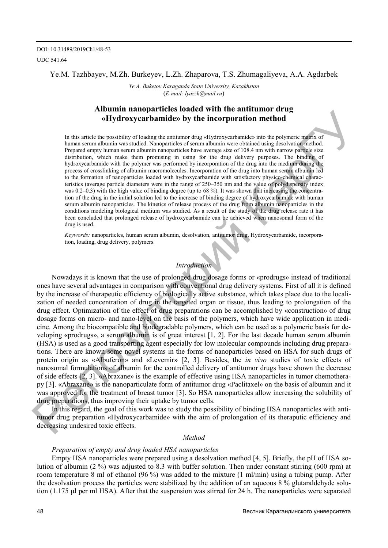### Ye.M. Tazhbayev, M.Zh. Burkeyev, L.Zh. Zhaparova, T.S. Zhumagaliyeva, A.A. Agdarbek

*Ye.A. Buketov Karaganda State University, Kazakhstan*  (*E-mail: lyazzh@mail.ru*)

# **Albumin nanoparticles loaded with the antitumor drug «Hydroxycarbamide» by the incorporation method**

In this article the possibility of loading the antitumor drug «Hydroxycarbamide» into the polymeric matrix of human serum albumin was studied. Nanoparticles of serum albumin were obtained using desolvation method. Prepared empty human serum albumin nanoparticles have average size of 108.4 nm with narrow particle size distribution, which make them promising in using for the drug delivery purposes. The binding of hydroxycarbamide with the polymer was performed by incorporation of the drug into the medium during the process of crosslinking of albumin macromolecules. Incorporation of the drug into human serum albumin led to the formation of nanoparticles loaded with hydroxycarbamide with satisfactory physico-chemical characteristics (average particle diameters were in the range of 250–350 nm and the value of polydispersity index was 0.2–0.3) with the high value of binding degree (up to 68 %). It was shown that increasing the concentration of the drug in the initial solution led to the increase of binding degree of hydroxycarbamide with human serum albumin nanoparticles. The kinetics of release process of the drug from albumin nanoparticles in the conditions modeling biological medium was studied. As a result of the study of the drug release rate it has been concluded that prolonged release of hydroxycarbamide can be achieved when nanosomal form of the drug is used.

*Keywords:* nanoparticles, human serum albumin, desolvation, antitumor drug, Hydroxycarbamide, incorporation, loading, drug delivery, polymers.

#### *Introduction*

Nowadays it is known that the use of prolonged drug dosage forms or «prodrugs» instead of traditional ones have several advantages in comparison with conventional drug delivery systems. First of all it is defined by the increase of therapeutic efficiency of biologically active substance, which takes place due to the localization of needed concentration of drug in the targeted organ or tissue, thus leading to prolongation of the drug effect. Optimization of the effect of drug preparations can be accomplished by «construction» of drug dosage forms on micro- and nano-level on the basis of the polymers, which have wide application in medicine. Among the biocompatible and biodegradable polymers, which can be used as a polymeric basis for developing «prodrugs», a serum albumin is of great interest [1, 2]. For the last decade human serum albumin (HSA) is used as a good transporting agent especially for low molecular compounds including drug preparations. There are known some novel systems in the forms of nanoparticles based on HSA for such drugs of protein origin as «Albuferon» and «Levemir» [2, 3]. Besides, the *in vivo* studies of toxic effects of nanosomal formulations of albumin for the controlled delivery of antitumor drugs have shown the decrease of side effects [2, 3]. «Abraxane» is the example of effective using HSA nanoparticles in tumor chemotherapy [3]. «Abraxane» is the nanoparticulate form of antitumor drug «Paclitaxel» on the basis of albumin and it was approved for the treatment of breast tumor [3]. So HSA nanoparticles allow increasing the solubility of drug preparations, thus improving their uptake by tumor cells. **THOMATE THE INTERFERICATE CONTROLL THE CONTROLL THE CONTROLL THE CONTROLL THE CONTROLL THE CONTROLL THE CONTROLL THE CONTROLL THE CONTROLL THE CONTROLL THE CONTROLL THE CONTROLL THE CONTROLL THE CONTROLL THE CONTROLL THE** 

In this regard, the goal of this work was to study the possibility of binding HSA nanoparticles with antitumor drug preparation «Hydroxycarbamide» with the aim of prolongation of its theraputic efficiency and decreasing undesired toxic effects.

#### *Method*

#### *Preparation of empty and drug loaded HSA nanoparticles*

Empty HSA nanoparticles were prepared using a desolvation method [4, 5]. Briefly, the pH of HSA solution of albumin (2 %) was adjusted to 8.3 with buffer solution. Then under constant stirring (600 rpm) at room temperature 8 ml of ethanol (96 %) was added to the mixture (1 ml/min) using a tubing pump. After the desolvation process the particles were stabilized by the addition of an aqueous 8 % glutaraldehyde solution (1.175 μl per ml HSA). After that the suspension was stirred for 24 h. The nanoparticles were separated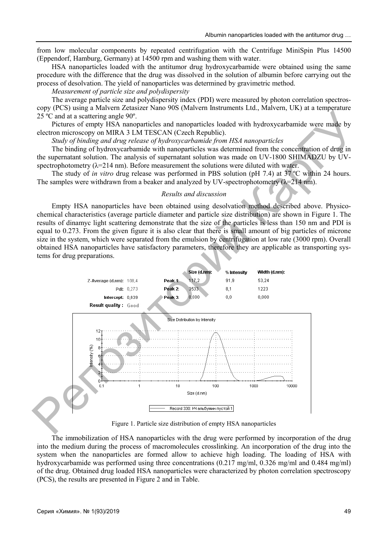from low molecular components by repeated centrifugation with the Centrifuge MiniSpin Plus 14500 (Eppendorf, Hamburg, Germany) at 14500 rpm and washing them with water.

HSA nanoparticles loaded with the antitumor drug hydroxycarbamide were obtained using the same procedure with the difference that the drug was dissolved in the solution of albumin before carrying out the process of desolvation. The yield of nanoparticles was determined by gravimetric method.

*Measurement of particle size and polydispersity* 

The average particle size and polydispersity index (PDI) were measured by photon correlation spectroscopy (PCS) using a Malvern Zetasizer Nano 90S (Malvern Instruments Ltd., Malvern, UK) at a temperature 25 ºC and at a scattering angle 90º.

Pictures of empty HSA nanoparticles and nanoparticles loaded with hydroxycarbamide were made by electron microscopy on MIRA 3 LM TESCAN (Czech Republic).

*Study of binding and drug release of hydroxycarbamide from HSA nanoparticles* 

The binding of hydroxycarbamide with nanoparticles was determined from the concentration of drug in the supernatant solution. The analysis of supernatant solution was made on UV-1800 SHIMADZU by UVspectrophotometry ( $\lambda$ =214 nm). Before measurement the solutions were diluted with water.

The study of *in vitro* drug release was performed in PBS solution (pH 7.4) at 37 ºC within 24 hours. The samples were withdrawn from a beaker and analyzed by UV-spectrophotometry  $(\lambda=214 \text{ nm})$ .

#### *Results and discussion*

Empty HSA nanoparticles have been obtained using desolvation method described above. Physicochemical characteristics (average particle diameter and particle size distribution) are shown in Figure 1. The results of dinamyc light scattering demonstrate that the size of the particles is less than 150 nm and PDI is equal to 0.273. From the given figure it is also clear that there is small amount of big particles of microne size in the system, which were separated from the emulsion by centrifugation at low rate (3000 rpm). Overall obtained HSA nanoparticles have satisfactory parameters, therefore they are applicable as transporting systems for drug preparations.



Figure 1. Particle size distribution of empty HSA nanoparticles

The immobilization of HSA nanoparticles with the drug were performed by incorporation of the drug into the medium during the process of macromolecules crosslinking. An incorporation of the drug into the system when the nanoparticles are formed allow to achieve high loading. The loading of HSA with hydroxycarbamide was performed using three concentrations (0.217 mg/ml, 0.326 mg/ml and 0.484 mg/ml) of the drug. Obtained drug loaded HSA nanoparticles were characterized by photon correlation spectroscopy (PCS), the results are presented in Figure 2 and in Table.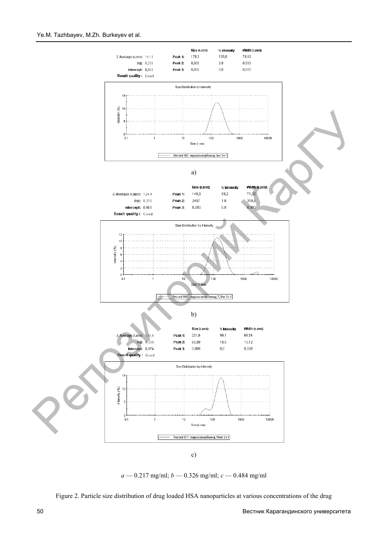#### Ye.M. Tazhbayev, M.Zh. Burkeyev et al.





Figure 2. Particle size distribution of drug loaded HSA nanoparticles at various concentrations of the drug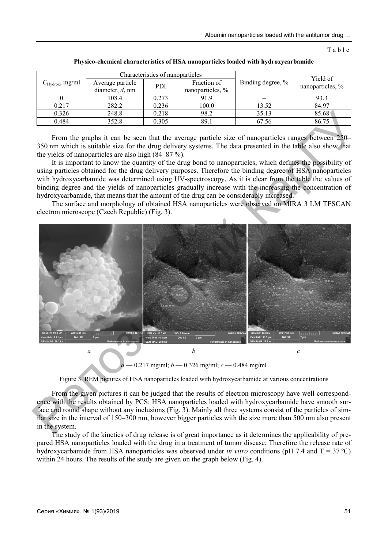Table

| $C_{\text{Hydrox}}$ , mg/ml | Characteristics of nanoparticles       |            |                                 |                   | Yield of         |
|-----------------------------|----------------------------------------|------------|---------------------------------|-------------------|------------------|
|                             | Average particle<br>diameter, $d$ , nm | <b>PDI</b> | Fraction of<br>nanoparticles, % | Binding degree, % | nanoparticles, % |
|                             | 108.4                                  | 0.273      | 91.9                            |                   | 93.3             |
| 0.217                       | 282.2                                  | 0.236      | 100.0                           | 13.52             | 84.97            |
| 0.326                       | 248.8                                  | 0.218      | 98.2                            | 35.13             | 85.68            |
| 0.484                       | 352.8                                  | 0.305      | 89.1                            | 67.56             | 86.75            |

**Physico-chemical characteristics of HSA nanoparticles loaded with hydroxycarbamide** 

From the graphs it can be seen that the average particle size of nanoparticles ranges between 250– 350 nm which is suitable size for the drug delivery systems. The data presented in the table also show that the yields of nanoparticles are also high (84–87 %).

It is important to know the quantity of the drug bond to nanoparticles, which defines the possibility of using particles obtained for the drug delivery purposes. Therefore the binding degree of HSA nanoparticles with hydroxycarbamide was determined using UV-spectroscopy. As it is clear from the table the values of binding degree and the yields of nanoparticles gradually increase with the increasing the concentration of hydroxycarbamide, that means that the amount of the drug can be considerably increased.

The surface and morphology of obtained HSA nanoparticles were observed on MIRA 3 LM TESCAN electron microscope (Czech Republic) (Fig. 3).



*a* — 0.217 mg/ml; *b* — 0.326 mg/ml; *c* — 0.484 mg/ml

Figure 3. REM pictures of HSA nanoparticles loaded with hydroxycarbamide at various concentrations

From the given pictures it can be judged that the results of electron microscopy have well correspondence with the results obtained by PCS: HSA nanoparticles loaded with hydroxycarbamide have smooth surface and round shape without any inclusions (Fig. 3). Mainly all three systems consist of the particles of similar size in the interval of 150–300 nm, however bigger particles with the size more than 500 nm also present in the system.

The study of the kinetics of drug release is of great importance as it determines the applicability of prepared HSA nanoparticles loaded with the drug in a treatment of tumor disease. Therefore the release rate of hydroxycarbamide from HSA nanoparticles was observed under *in vitro* conditions (pH 7.4 and T = 37 ºC) within 24 hours. The results of the study are given on the graph below (Fig. 4).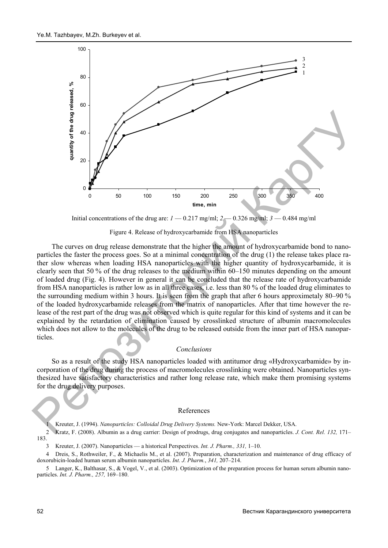

Initial concentrations of the drug are:  $I = 0.217$  mg/ml;  $2 = 0.326$  mg/ml;  $3 = 0.484$  mg/ml

Figure 4. Release of hydroxycarbamide from HSA nanoparticles

The curves on drug release demonstrate that the higher the amount of hydroxycarbamide bond to nanoparticles the faster the process goes. So at a minimal concentration of the drug (1) the release takes place rather slow whereas when loading HSA nanoparticles with the higher quantity of hydroxycarbamide, it is clearly seen that 50 % of the drug releases to the medium within 60–150 minutes depending on the amount of loaded drug (Fig. 4). However in general it can be concluded that the release rate of hydroxycarbamide from HSA nanoparticles is rather low as in all three cases, i.e. less than 80 % of the loaded drug eliminates to the surrounding medium within 3 hours. It is seen from the graph that after 6 hours approximetaly 80–90 % of the loaded hydroxycarbamide releases from the matrix of nanoparticles. After that time however the release of the rest part of the drug was not observed which is quite regular for this kind of systems and it can be explained by the retardation of elimination caused by crosslinked structure of albumin macromolecules which does not allow to the molecules of the drug to be released outside from the inner part of HSA nanoparticles. **PERIOD**<br> **EXERCISE A**<br> **EXERCISE AND INSTERS AND ACTES AND ACTES AND ACTION (APPLICATE)**<br> **EXERCISE AND INSTERS AND ACTES AND ACTES AND ACTION**<br> **EXERCISE AND INSTERS AND ACTES AND ACTES AND ACTES AND ACTES AND ACTES AND** 

### *Conclusions*

So as a result of the study HSA nanoparticles loaded with antitumor drug «Hydroxycarbamide» by incorporation of the drug during the process of macromolecules crosslinking were obtained. Nanoparticles synthesized have satisfactory characteristics and rather long release rate, which make them promising systems for the drug delivery purposes.

#### References

1 Kreuter, J. (1994). *Nanoparticles: Colloidal Drug Delivery Systems.* New-York: Marcel Dekker, USA.

2 Kratz, F. (2008). Albumin as a drug carrier: Design of prodrugs, drug conjugates and nanoparticles. *J. Cont. Rel. 132,* 171– 183.

3 Kreuter, J. (2007). Nanoparticles — a historical Perspectives. *Int. J. Pharm., 331,* 1–10.

4 Dreis, S., Rothweiler, F., & Michaelis M., et al. (2007). Preparation, characterization and maintenance of drug efficacy of doxorubicin-loaded human serum albumin nanoparticles. *Int. J. Pharm.*, *341,* 207–214.

Langer, K., Balthasar, S., & Vogel, V., et al. (2003). Optimization of the preparation process for human serum albumin nanoparticles. *Int. J. Pharm., 257,* 169–180.